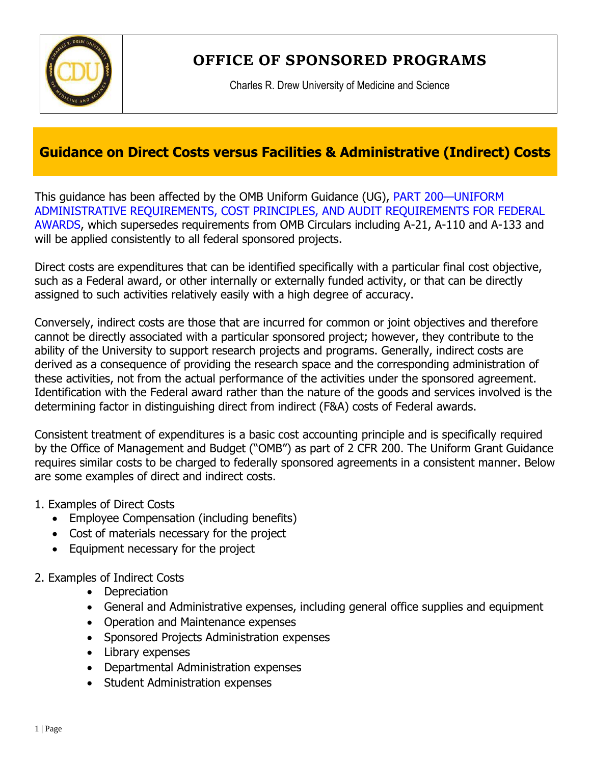

**OFFICE OF SPONSORED PROGRAMS**

Charles R. Drew University of Medicine and Science

## **Guidance on Direct Costs versus Facilities & Administrative (Indirect) Costs**

This guidance has been affected by the OMB Uniform Guidance (UG), PART 200—UNIFORM ADMINISTRATIVE REQUIREMENTS, COST PRINCIPLES, AND AUDIT REQUIREMENTS FOR FEDERAL AWARDS, which supersedes requirements from OMB Circulars including A-21, A-110 and A-133 and will be applied consistently to all federal sponsored projects.

Direct costs are expenditures that can be identified specifically with a particular final cost objective, such as a Federal award, or other internally or externally funded activity, or that can be directly assigned to such activities relatively easily with a high degree of accuracy.

Conversely, indirect costs are those that are incurred for common or joint objectives and therefore cannot be directly associated with a particular sponsored project; however, they contribute to the ability of the University to support research projects and programs. Generally, indirect costs are derived as a consequence of providing the research space and the corresponding administration of these activities, not from the actual performance of the activities under the sponsored agreement. Identification with the Federal award rather than the nature of the goods and services involved is the determining factor in distinguishing direct from indirect (F&A) costs of Federal awards.

Consistent treatment of expenditures is a basic cost accounting principle and is specifically required by the Office of Management and Budget ("OMB") as part of 2 CFR 200. The Uniform Grant Guidance requires similar costs to be charged to federally sponsored agreements in a consistent manner. Below are some examples of direct and indirect costs.

- 1. Examples of Direct Costs
	- Employee Compensation (including benefits)
	- Cost of materials necessary for the project
	- Equipment necessary for the project
- 2. Examples of Indirect Costs
	- Depreciation
	- General and Administrative expenses, including general office supplies and equipment
	- Operation and Maintenance expenses
	- Sponsored Projects Administration expenses
	- Library expenses
	- Departmental Administration expenses
	- Student Administration expenses